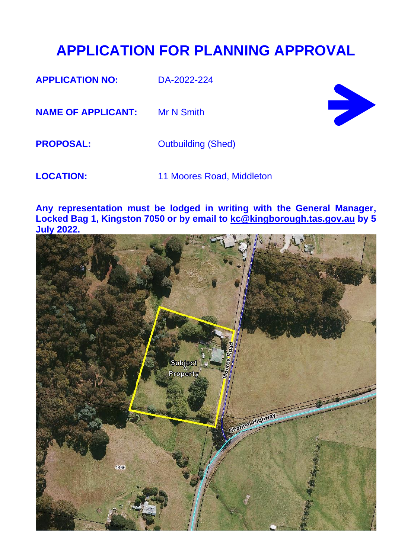## **APPLICATION FOR PLANNING APPROVAL**

**APPLICATION NO:** DA-2022-224

**NAME OF APPLICANT:** Mr N Smith



**PROPOSAL:** Outbuilding (Shed)

**LOCATION:** 11 Moores Road, Middleton

**Any representation must be lodged in writing with the General Manager, Locked Bag 1, Kingston 7050 or by email to [kc@kingborough.tas.gov.au](mailto:kc@kingborough.tas.gov.au) by 5 July 2022.**

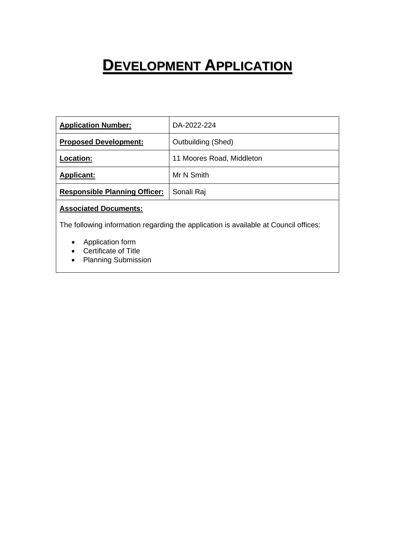# **DEVELOPMENT APPLICATION**

| <b>Application Number:</b>           | DA-2022-224               |
|--------------------------------------|---------------------------|
| <b>Proposed Development:</b>         | Outbuilding (Shed)        |
| <b>Location:</b>                     | 11 Moores Road, Middleton |
| <b>Applicant:</b>                    | Mr N Smith                |
| <b>Responsible Planning Officer:</b> | Sonali Raj                |

### **Associated Documents:**

The following information regarding the application is available at Council offices:

- Application form
- Certificate of Title
- Planning Submission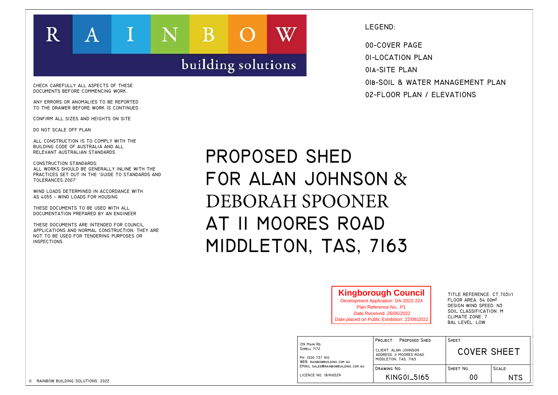| R                                                                                                                                                                                                                                                                                                                                                                                                                                           | A                                                                                                                                                   |  | B                  |                                                                                                     | LEGEND:<br>00-COVER PAGE                                                                                                                                                  |                                                                                                                                                         |  |
|---------------------------------------------------------------------------------------------------------------------------------------------------------------------------------------------------------------------------------------------------------------------------------------------------------------------------------------------------------------------------------------------------------------------------------------------|-----------------------------------------------------------------------------------------------------------------------------------------------------|--|--------------------|-----------------------------------------------------------------------------------------------------|---------------------------------------------------------------------------------------------------------------------------------------------------------------------------|---------------------------------------------------------------------------------------------------------------------------------------------------------|--|
| CHECK CAREFULLY ALL ASPECTS OF THESE<br>DOCUMENTS BEFORE COMMENCING WORK.<br>ANY ERRORS OR ANOMALIES TO BE REPORTED<br>TO THE DRAWER BEFORE WORK IS CONTINUED<br>CONFIRM ALL SIZES AND HEIGHTS ON SITE<br>DO NOT SCALE OFF PLAN                                                                                                                                                                                                             |                                                                                                                                                     |  | building solutions |                                                                                                     | 01-LOCATION PLAN<br>OIA-SITE PLAN<br>OIB-SOIL & WATER MANAGEMENT PLAN<br>02-FLOOR PLAN / ELEVATIONS                                                                       |                                                                                                                                                         |  |
| ALL CONSTRUCTION IS TO COMPLY WITH THE<br>BUILDING CODE OF AUSTRALIA AND ALL<br>RELEVANT AUSTRALIAN STANDARDS<br><b>CONSTRUCTION STANDARDS:</b><br>TOLERANCES 2007'<br>WIND LOADS DETERMINED IN ACCORDANCE WITH<br>AS 4055 - WIND LOADS FOR HOUSING<br>THESE DOCUMENTS TO BE USED WITH ALL<br>DOCUMENTATION PREPARED BY AN ENGINEER<br>THESE DOCUMENTS ARE INTENDED FOR COUNCIL<br>NOT TO BE USED FOR TENDERING PURPOSES OR<br>INSPECTIONS. | ALL WORKS SHOULD BE GENERALLY INLINE WITH THE<br>PRACTICES SET OUT IN THE 'GUIDE TO STANDARDS AND<br>APPLICATIONS AND NORMAL CONSTRUCTION, THEY ARE |  |                    | PROPOSED SHED<br>FOR ALAN JOHNSON &<br>DEBORAH SPOONER<br>AT II MOORES ROAD<br>MIDDLETON, TAS, 7163 |                                                                                                                                                                           |                                                                                                                                                         |  |
|                                                                                                                                                                                                                                                                                                                                                                                                                                             |                                                                                                                                                     |  |                    |                                                                                                     | <b>Kingborough Council</b><br>Development Application: DA-2022-224<br>Plan Reference No.: P1<br>Date Received: 26/05/2022<br>Date placed on Public Exhibition: 22/06/2022 | TITLE REFERENCE: CT.7031/I<br>FLOOR AREA: 54.00M2<br>DESIGN WIND SPEED: N3<br>SOIL CLASSIFICATION: M<br><b>CLIMATE ZONE: 7</b><br><b>BAL LEVEL: LOW</b> |  |
|                                                                                                                                                                                                                                                                                                                                                                                                                                             |                                                                                                                                                     |  |                    | 139 MAIN RD.                                                                                        | PROJECT: PROPOSED SHED                                                                                                                                                    | SHEET:<br><b>COVER SHEET</b>                                                                                                                            |  |

|                                                     | 02-FLOOR PLAN / ELEVATIONS                                                                                                                                                       |                                                                                                                                                         |            |
|-----------------------------------------------------|----------------------------------------------------------------------------------------------------------------------------------------------------------------------------------|---------------------------------------------------------------------------------------------------------------------------------------------------------|------------|
| ED<br>INSON $\&$<br><b>ONER</b><br>ROAD<br>AS, 7163 |                                                                                                                                                                                  |                                                                                                                                                         |            |
|                                                     | <b>Kingborough Council</b><br><b>Development Application: DA-2022-224</b><br>Plan Reference No.: P1<br>Date Received: 26/05/2022<br>Date placed on Public Exhibition: 22/06/2022 | TITLE REFERENCE: CT.7031/I<br>FLOOR AREA: 54.00M2<br>DESIGN WIND SPEED: N3<br>SOIL CLASSIFICATION: M<br><b>CLIMATE ZONE: 7</b><br><b>BAL LEVEL: LOW</b> |            |
|                                                     | PROJECT:<br><b>PROPOSED SHED</b>                                                                                                                                                 | SHEET:                                                                                                                                                  |            |
| .COM.AU                                             | CLIENT: ALAN JOHNSON<br>ADDRESS: II MOORES ROAD<br>MIDDLETON, TAS, 7163                                                                                                          | <b>COVER SHEET</b>                                                                                                                                      |            |
| VBUILDING.COM.AU                                    | DRAWING NO.                                                                                                                                                                      | SHEET No.                                                                                                                                               | SCALE:     |
| 29                                                  | KING01_5165                                                                                                                                                                      | 00                                                                                                                                                      | <b>NTS</b> |
|                                                     |                                                                                                                                                                                  |                                                                                                                                                         |            |
|                                                     |                                                                                                                                                                                  |                                                                                                                                                         |            |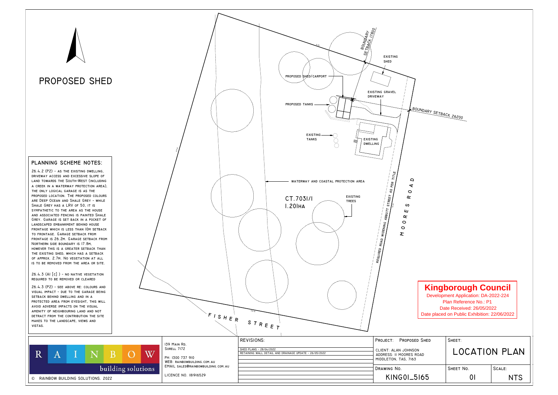

Date placed on Public Exhibition: 22/06/2022 Development Application: DA-2022-224 Plan Reference No.: P1 Date Received: 26/05/2022

| <b>SHED</b> | SHEET:               |            |
|-------------|----------------------|------------|
| ١D          | <b>LOCATION PLAN</b> |            |
|             | SHEET No.            | SCALE:     |
| 65          |                      | <b>NTS</b> |

### **Kingborough Council**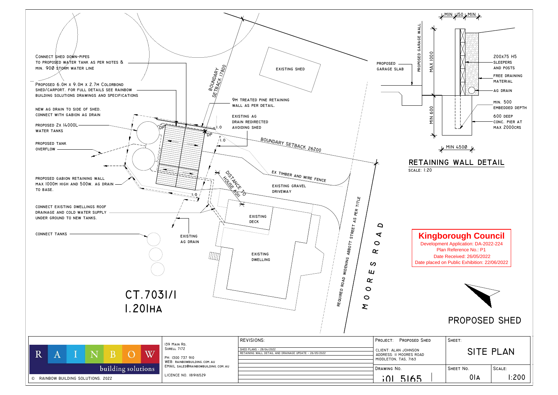